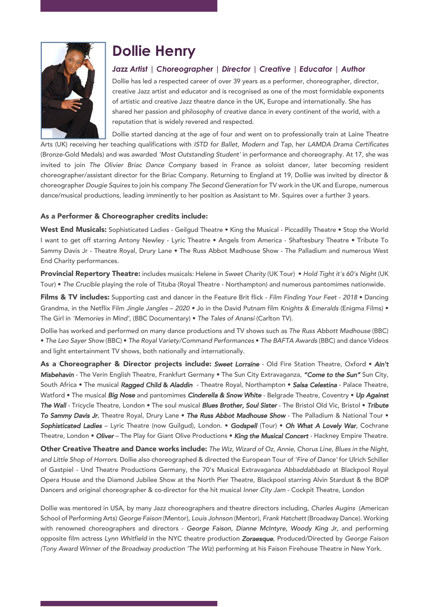

## **Dollie Henry**

## *Jazz Artist | Choreographer | Director | Creative | Educator | Author*

Dollie has led a respected career of over 39 years as a performer, choreographer, director, creative Jazz artist and educator and is recognised as one of the most formidable exponents of artistic and creative Jazz theatre dance in the UK, Europe and internationally. She has shared her passion and philosophy of creative dance in every continent of the world, with a reputation that is widely revered and respected.

Dollie started dancing at the age of four and went on to professionally train at Laine Theatre

Arts (UK) receiving her teaching qualifications with *ISTD for Ballet, Modern and Tap*, her *LAMDA Drama Certificates* (Bronze-Gold Medals) and was awarded *'Most Outstanding Student'* in performance and choreography. At 17, she was invited to join *The Olivier Briac Dance Company* based in France as soloist dancer, later becoming resident choreographer/assistant director for the Briac Company. Returning to England at 19, Dollie was invited by director & choreographer *Dougie Squires* to join his company *The Second Generation* for TV work in the UK and Europe, numerous dance/musical productions, leading imminently to her position as Assistant to Mr. Squires over a further 3 years.

## As a Performer & Choreographer credits include:

West End Musicals: Sophisticated Ladies - Geilgud Theatre • King the Musical - Piccadilly Theatre • Stop the World I want to get off starring Antony Newley - Lyric Theatre • Angels from America - Shaftesbury Theatre • Tribute To Sammy Davis Jr - Theatre Royal, Drury Lane • The Russ Abbot Madhouse Show - The Palladium and numerous West End Charity performances.

Provincial Repertory Theatre: includes musicals: Helene in *Sweet Charity* (UK Tour) • *Hold Tight it's 60's Night* (UK Tour) • *The Crucible* playing the role of Tituba (Royal Theatre - Northampton) and numerous pantomimes nationwide.

Films & TV includes: Supporting cast and dancer in the Feature Brit flick - *Film Finding Your Feet* - *2018* • Dancing Grandma, in the Netflix Film *Jingle Jangles* – *2020 •* Jo in the David Putnam film *Knights & Emeralds* (Enigma Films) • The Girl in *'Memories in Mind'*, (BBC Documentary) • *The Tales of Anansi* (Carlton TV).

Dollie has worked and performed on many dance productions and TV shows such as *The Russ Abbott Madhouse* (BBC) • *The Leo Sayer Show* (BBC) • *The Royal Variety/Command Performances* • *The BAFTA Awards* (BBC) and dance Videos and light entertainment TV shows, both nationally and internationally.

As a Choreographer & Director projects include: *Sweet Lorraine* - Old Fire Station Theatre, Oxford • *Ain't Misbehavin* - The Verin English Theatre, Frankfurt Germany • The Sun City Extravaganza, *"Come to the Sun"* Sun City, South Africa • The musical *Ragged Child* & *Aladdin* - Theatre Royal, Northampton • *Salsa Celestina* - Palace Theatre, Watford • The musical *Big Nose* and pantomimes *Cinderella & Snow White* - Belgrade Theatre, Coventry • *Up Against The Wall* - Tricycle Theatre, London • The soul musical *Blues Brother, Soul Sister* - The Bristol Old Vic, Bristol • *Tribute To Sammy Davis Jr*. Theatre Royal, Drury Lane • *The Russ Abbot Madhouse Show* - The Palladium & National Tour • *Sophisticated Ladies* – Lyric Theatre (now Guilgud), London. • *Godspell* (Tour) • *Oh What A Lovely War,* Cochrane Theatre, London • *Oliver* – The Play for Giant Olive Productions • *King the Musical Concert -* Hackney Empire Theatre*.*

Other Creative Theatre and Dance works include: *The Wiz, Wizard of Oz, Annie, Chorus Line, Blues in the Night, and Little Shop of Horrors.* Dollie also choreographed & directed the European Tour of *'Fire of Dance'* for Ulrich Schiller of Gastpiel - Und Theatre Productions Germany, the 70's Musical Extravaganza *Abbaddabbado* at Blackpool Royal Opera House and the Diamond Jubilee Show at the North Pier Theatre, Blackpool starring Alvin Stardust & the BOP Dancers and original choreographer & co-director for the hit musical *Inner City Jam* - Cockpit Theatre, London

Dollie was mentored in USA, by many Jazz choreographers and theatre directors including, *Charles Augins* (American School of Performing Arts) *George Faison* (Mentor), *Louis Johnson* (Mentor), *Frank Hatchett* (Broadway Dance). Working with renowned choreographers and directors - *George Faison, Dianne McIntyre, Woody King Jr,* and performing opposite film actress *Lynn Whitfield* in the NYC theatre production *Zoraesque*, Produced/Directed by *George Faison (Tony Award Winner of the Broadway production 'The Wiz*) performing at his Faison Firehouse Theatre in New York.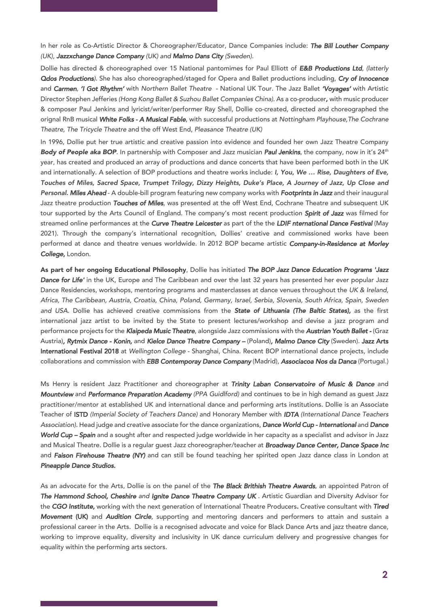In her role as Co-Artistic Director & Choreographer/Educator, Dance Companies include: *The Bill Louther Company (UK), Jazzxchange Dance Company (UK) and Malmo Dans City (Sweden).*

Dollie has directed & choreographed over 15 National pantomimes for Paul Elliott of *E&B Productions Ltd, (latterly Qdos Productions)*. She has also choreographed/staged for Opera and Ballet productions including, *Cry of Innocence* and *Carmen*, *'I Got Rhythm'* with *Northern Ballet Theatre* - National UK Tour. The Jazz Ballet *'Voyages'* with Artistic Director Stephen Jefferies *(Hong Kong Ballet & Suzhou Ballet Companies China).* As a co-producer, with music producer & composer Paul Jenkins and lyricist/writer/performer Ray Shell, Dollie co-created, directed and choreographed the orignal RnB musical *White Folks - A Musical Fable*, with successful productions at *Nottingham Playhouse,The Cochrane Theatre, The Tricycle Theatre* and the off West End, *Pleasance Theatre (UK)*

In 1996, Dollie put her true artistic and creative passion into evidence and founded her own Jazz Theatre Company *Body of People aka BOP*. In partnership with Composer and Jazz musician *Paul Jenkins*, the company, now in it's 24th year, has created and produced an array of productions and dance concerts that have been performed both in the UK and internationally. A selection of BOP productions and theatre works include: *I, You, We … Rise, Daughters of Eve, Touches of Miles, Sacred Space, Trumpet Trilogy, Dizzy Heights, Duke's Place, A Journey of Jazz, Up Close and Personal. Miles Ahead* - A double-bill program featuring new company works with *Footprints in Jazz* and their inaugural Jazz theatre production *Touches of Miles*, was presented at the off West End, Cochrane Theatre and subsequent UK tour supported by the Arts Council of England. The company's most recent production *Spirit of Jazz* was filmed for streamed online performances at the *Curve Theatre Leicester* as part of the the *LDIF nternational Dance Festival* (May 2021). Through the company's international recognition, Dollies' creative and commissioned works have been performed at dance and theatre venues worldwide. In 2012 BOP became artistic *Company-in-Residence at Morley College,* London.

As part of her ongoing Educational Philosophy, Dollie has initiated *The BOP Jazz Dance Education Programs 'Jazz Dance for Life'* in the UK, Europe and The Caribbean and over the last 32 years has presented her ever popular Jazz Dance Residencies, workshops, mentoring programs and masterclasses at dance venues throughout the *UK & Ireland, Africa, The Caribbean, Austria, Croatia, China, Poland, Germany, Israel, Serbia, Slovenia, South Africa, Spain, Sweden and USA.* Dollie has achieved creative commissions from the *State of Lithuania (The Baltic States),* as the first international jazz artist to be invited by the State to present lectures/workshop and devise a jazz program and performance projects for the *Klaipeda Music Theatre*, alongside Jazz commissions with the *Austrian Youth Ballet -* (Graz Austria)*, Rytmix Dance - Konin,* and *Kielce Dance Theatre Company –* (Poland)*, Malmo Dance City* (Sweden). Jazz Arts International Festival 2018 at *Wellington College* - Shanghai, China. Recent BOP international dance projects, include collaborations and commission with *EBB Contemporay Dance Company* (Madrid), *Associacoa Nos da Danca* (Portugal.)

Ms Henry is resident Jazz Practitioner and choreographer at *Trinity Laban Conservatoire of Music & Dance* and *Mountview* and *Performance Preparation Academy (PPA Guidlford)* and continues to be in high demand as guest Jazz practitioner/mentor at established UK and international dance and performing arts institutions. Dollie is an Associate Teacher of ISTD *(Imperial Society of Teachers Dance)* and Honorary Member with *IDTA (International Dance Teachers Association).* Head judge and creative associate for the dance organizations, *Dance World Cup - International* and *Dance World Cup – Spain* and a sought after and respected judge worldwide in her capacity as a specialist and advisor in Jazz and Musical Theatre. Dollie is a regular guest Jazz choreographer/teacher at *Broadway Dance Center, Dance Space Inc*  and *Faison Firehouse Theatre (NY)* and can still be found teaching her spirited open Jazz dance class in London at *Pineapple Dance Studios.*

As an advocate for the Arts, Dollie is on the panel of the *The Black Brithish Theatre Awards*, an appointed Patron of *The Hammond School, Cheshire and Ignite Dance Theatre Company UK* . ArtisticGuardian and Diversity Advisor for the *CGO Institute,* working with the next generation of International Theatre Producers*.* Creative consultant with *Tired Movement* (UK) and *Audition Circle*, supporting and mentoring dancers and performers to attain and sustain a professional career in the Arts. Dollie is a recognised advocate and voice for Black Dance Arts and jazz theatre dance, working to improve equality, diversity and inclusivity in UK dance curriculum delivery and progressive changes for equality within the performing arts sectors.